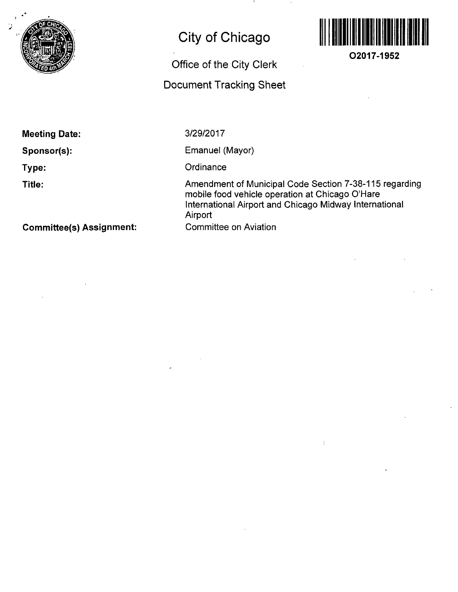

# **City of Chicago**

# **Office of the City Clerk**

# **Docunnent Tracking Sheet**



**O2017-1952** 

**Meeting Date:** 

**Sponsor(s):** 

**Type:** 

**Title:** 

3/29/2017

Emanuel (Mayor)

**Ordinance** 

Amendment of Municipal Code Section 7-38-115 regarding mobile food vehicle operation at Chicago O'Hare International Airport and Chicago Midway International Airport Committee on Aviation

 $\dot{\zeta}$ 

**Committee(s) Assignment:**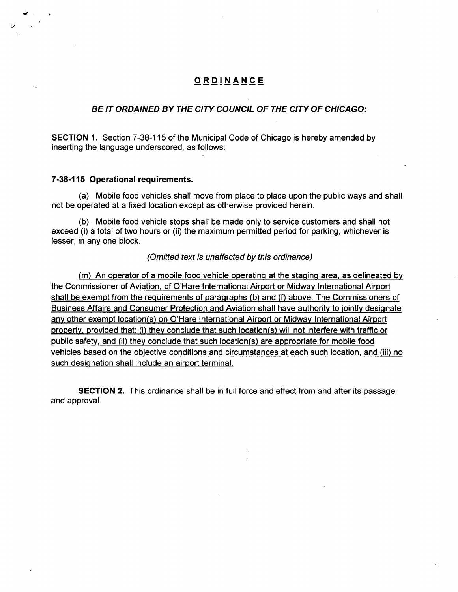### **ORDINANC E**

#### **BE IT ORDAINED BY THE CITY COUNCIL OF THE CITY OF CHICAGO:**

SECTION 1. Section 7-38-115 of the Municipal Code of Chicago is hereby amended by inserting the language underscored, as follows:

#### **7-38-115 Operational requirements.**

(a) Mobile food vehicles shall move from place to place upon the public ways and shall not be operated at a fixed location except as otherwise provided herein.

(b) Mobile food vehicle stops shall be made only to service customers and shall not exceed (i) a total of two hours or (ii) the maximum permitted period for parking, whichever is lesser, in any one block.

#### (Omitted text is unaffected by this ordinance)

(m) An operator of a mobile food vehicle operating at the staging area, as delineated bv the Commissioner of Aviation, of O'Hare international Airport or Midway International Airport shall be exempt from the reguirements of paragraphs (b) and (f) above. The Commissioners of Business Affairs and Consumer Protection and Aviation shall have authority to jointly designate any other exempt location(s) on O'Hare International Airport or Midway International Airport property, provided that: (i) they conclude that such location(s) will not interfere with traffic or public safety, and (ii) they conclude that such location(s) are appropriate for mobile food vehicles based on the objective conditions and circumstances at each such location, and (iii) no such designation shall include an airport terminal.

SECTION 2. This ordinance shall be in full force and effect from and after its passage and approval.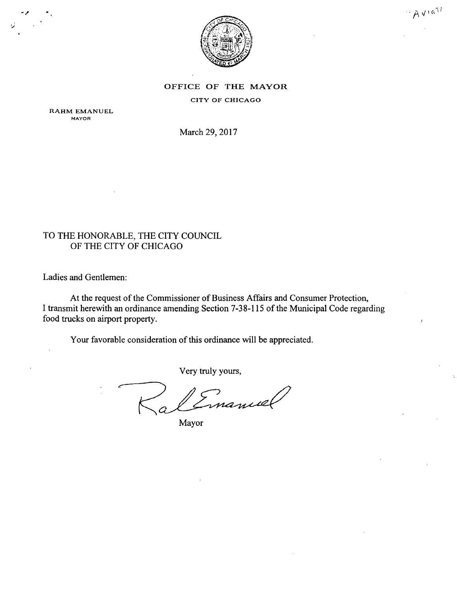

 $A$ via<sup>st</sup>

## OFFICE OF THE MAYOR

CITY OF CHICAGO

RAHM EMANUEL MAYOR

March 29, 2017

### TO THE HONORABLE, THE CITY COUNCIL OF THE CITY OF CHICAGO

Ladies and Gentlemen:

At the request of the Commissioner of Business Affairs and Consumer Protection, I transmit herewith an ordinance amending Section 7-38-115 of the Municipal Code regarding food trucks on airport property.

Your favorable consideration of this ordinance will be appreciated.

Very truly yours,

Imanuel

Mayor